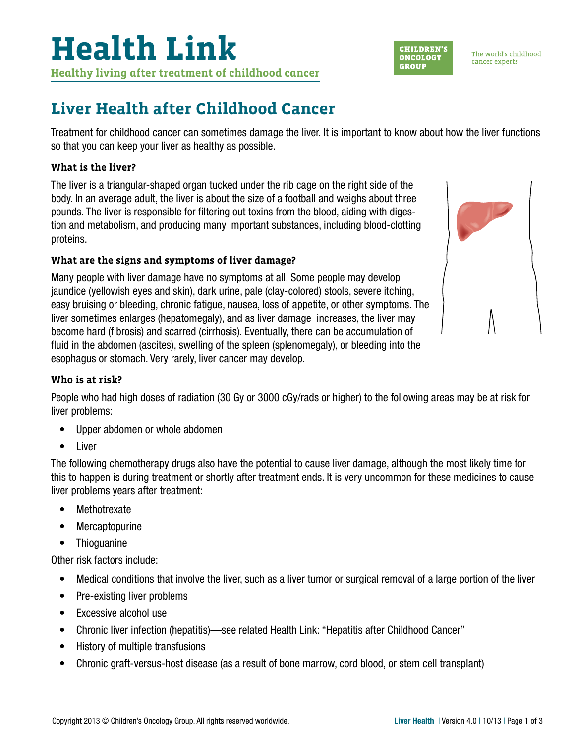The world's childhood cancer experts

**CHILDREN'S** 

**ONCOLOGY** 

**GROUP** 

## **Liver Health after Childhood Cancer**

Treatment for childhood cancer can sometimes damage the liver. It is important to know about how the liver functions so that you can keep your liver as healthy as possible.

### **What is the liver?**

The liver is a triangular-shaped organ tucked under the rib cage on the right side of the body. In an average adult, the liver is about the size of a football and weighs about three pounds. The liver is responsible for filtering out toxins from the blood, aiding with digestion and metabolism, and producing many important substances, including blood-clotting proteins.

### **What are the signs and symptoms of liver damage?**

Many people with liver damage have no symptoms at all. Some people may develop jaundice (yellowish eyes and skin), dark urine, pale (clay-colored) stools, severe itching, easy bruising or bleeding, chronic fatigue, nausea, loss of appetite, or other symptoms. The liver sometimes enlarges (hepatomegaly), and as liver damage increases, the liver may become hard (fibrosis) and scarred (cirrhosis). Eventually, there can be accumulation of fluid in the abdomen (ascites), swelling of the spleen (splenomegaly), or bleeding into the esophagus or stomach. Very rarely, liver cancer may develop.

#### **Who is at risk?**

People who had high doses of radiation (30 Gy or 3000 cGy/rads or higher) to the following areas may be at risk for liver problems:

- Upper abdomen or whole abdomen
- Liver

The following chemotherapy drugs also have the potential to cause liver damage, although the most likely time for this to happen is during treatment or shortly after treatment ends. It is very uncommon for these medicines to cause liver problems years after treatment:

- Methotrexate
- Mercaptopurine
- Thioguanine

Other risk factors include:

- Medical conditions that involve the liver, such as a liver tumor or surgical removal of a large portion of the liver
- Pre-existing liver problems
- Excessive alcohol use
- Chronic liver infection (hepatitis)—see related Health Link: "Hepatitis after Childhood Cancer"
- History of multiple transfusions
- Chronic graft-versus-host disease (as a result of bone marrow, cord blood, or stem cell transplant)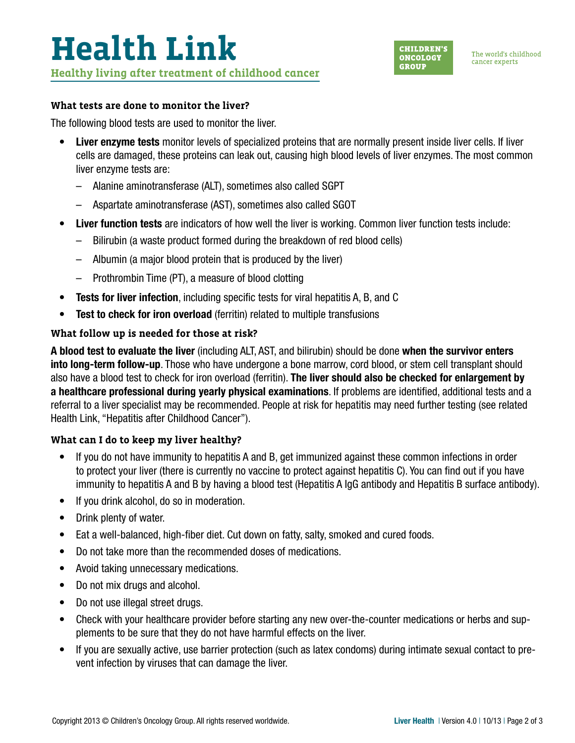

#### **What tests are done to monitor the liver?**

The following blood tests are used to monitor the liver.

- Liver enzyme tests monitor levels of specialized proteins that are normally present inside liver cells. If liver cells are damaged, these proteins can leak out, causing high blood levels of liver enzymes. The most common liver enzyme tests are:
	- Alanine aminotransferase (ALT), sometimes also called SGPT
	- Aspartate aminotransferase (AST), sometimes also called SGOT
- Liver function tests are indicators of how well the liver is working. Common liver function tests include:
	- Bilirubin (a waste product formed during the breakdown of red blood cells)
	- Albumin (a major blood protein that is produced by the liver)
	- Prothrombin Time (PT), a measure of blood clotting
- Tests for liver infection, including specific tests for viral hepatitis A, B, and C
- Test to check for iron overload (ferritin) related to multiple transfusions

#### **What follow up is needed for those at risk?**

A blood test to evaluate the liver (including ALT, AST, and bilirubin) should be done when the survivor enters into long-term follow-up. Those who have undergone a bone marrow, cord blood, or stem cell transplant should also have a blood test to check for iron overload (ferritin). The liver should also be checked for enlargement by a healthcare professional during yearly physical examinations. If problems are identified, additional tests and a referral to a liver specialist may be recommended. People at risk for hepatitis may need further testing (see related Health Link, "Hepatitis after Childhood Cancer").

#### **What can I do to keep my liver healthy?**

- If you do not have immunity to hepatitis A and B, get immunized against these common infections in order to protect your liver (there is currently no vaccine to protect against hepatitis C). You can find out if you have immunity to hepatitis A and B by having a blood test (Hepatitis A IgG antibody and Hepatitis B surface antibody).
- If you drink alcohol, do so in moderation.
- Drink plenty of water.
- Eat a well-balanced, high-fiber diet. Cut down on fatty, salty, smoked and cured foods.
- Do not take more than the recommended doses of medications.
- Avoid taking unnecessary medications.
- Do not mix drugs and alcohol.
- Do not use illegal street drugs.
- Check with your healthcare provider before starting any new over-the-counter medications or herbs and supplements to be sure that they do not have harmful effects on the liver.
- If you are sexually active, use barrier protection (such as latex condoms) during intimate sexual contact to prevent infection by viruses that can damage the liver.